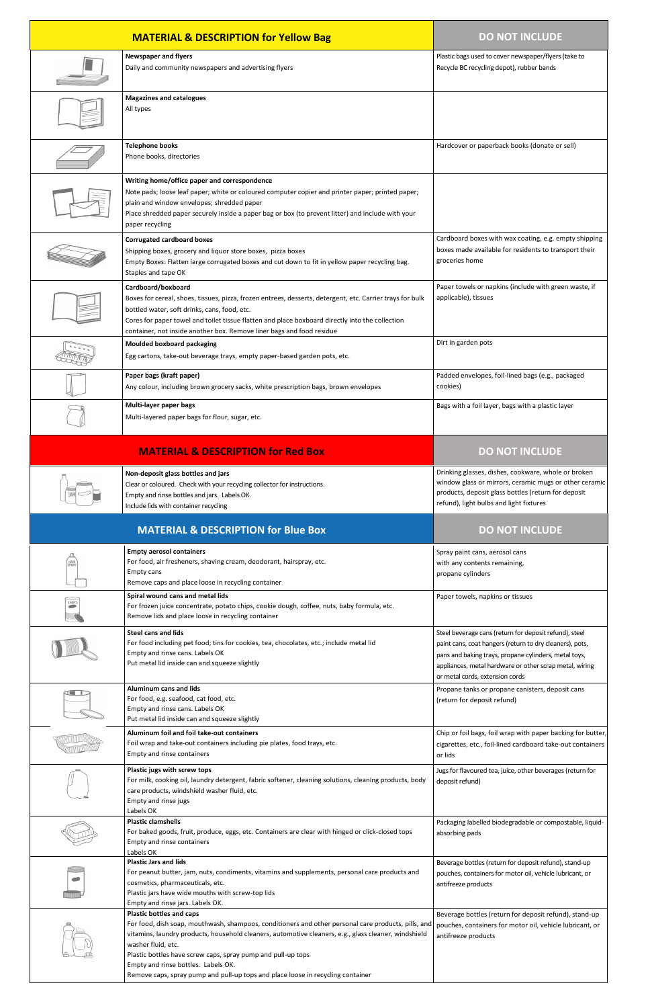| <b>MATERIAL &amp; DESCRIPTION for Yellow Bag</b> |                                                                                                                                                                                                                                                                                                                                                                             | <b>DO NOT INCLUDE</b>                                                                                                                                                                                                                                                     |
|--------------------------------------------------|-----------------------------------------------------------------------------------------------------------------------------------------------------------------------------------------------------------------------------------------------------------------------------------------------------------------------------------------------------------------------------|---------------------------------------------------------------------------------------------------------------------------------------------------------------------------------------------------------------------------------------------------------------------------|
|                                                  | <b>Newspaper and flyers</b><br>Daily and community newspapers and advertising flyers                                                                                                                                                                                                                                                                                        | Plastic bags used to cover newspaper/flyers (take to<br>Recycle BC recycling depot), rubber bands                                                                                                                                                                         |
|                                                  | <b>Magazines and catalogues</b><br>All types                                                                                                                                                                                                                                                                                                                                |                                                                                                                                                                                                                                                                           |
|                                                  | <b>Telephone books</b><br>Phone books, directories                                                                                                                                                                                                                                                                                                                          | Hardcover or paperback books (donate or sell)                                                                                                                                                                                                                             |
|                                                  | Writing home/office paper and correspondence<br>Note pads; loose leaf paper; white or coloured computer copier and printer paper; printed paper;<br>plain and window envelopes; shredded paper<br>Place shredded paper securely inside a paper bag or box (to prevent litter) and include with your<br>paper recycling                                                      |                                                                                                                                                                                                                                                                           |
|                                                  | <b>Corrugated cardboard boxes</b><br>Shipping boxes, grocery and liquor store boxes, pizza boxes<br>Empty Boxes: Flatten large corrugated boxes and cut down to fit in yellow paper recycling bag.<br>Staples and tape OK                                                                                                                                                   | Cardboard boxes with wax coating, e.g. empty shipping<br>boxes made available for residents to transport their<br>groceries home                                                                                                                                          |
|                                                  | Cardboard/boxboard<br>Boxes for cereal, shoes, tissues, pizza, frozen entrees, desserts, detergent, etc. Carrier trays for bulk<br>bottled water, soft drinks, cans, food, etc.<br>Cores for paper towel and toilet tissue flatten and place boxboard directly into the collection<br>container, not inside another box. Remove liner bags and food residue                 | Paper towels or napkins (include with green waste, if<br>applicable), tissues                                                                                                                                                                                             |
|                                                  | <b>Moulded boxboard packaging</b><br>Egg cartons, take-out beverage trays, empty paper-based garden pots, etc.                                                                                                                                                                                                                                                              | Dirt in garden pots                                                                                                                                                                                                                                                       |
|                                                  | Paper bags (kraft paper)<br>Any colour, including brown grocery sacks, white prescription bags, brown envelopes                                                                                                                                                                                                                                                             | Padded envelopes, foil-lined bags (e.g., packaged<br>cookies)                                                                                                                                                                                                             |
|                                                  | Multi-layer paper bags<br>Multi-layered paper bags for flour, sugar, etc.                                                                                                                                                                                                                                                                                                   | Bags with a foil layer, bags with a plastic layer                                                                                                                                                                                                                         |
|                                                  | <b>MATERIAL &amp; DESCRIPTION for Red Box</b>                                                                                                                                                                                                                                                                                                                               | <b>DO NOT INCLUDE</b>                                                                                                                                                                                                                                                     |
|                                                  | Non-deposit glass bottles and jars<br>Clear or coloured. Check with your recycling collector for instructions.<br>Empty and rinse bottles and jars. Labels OK.                                                                                                                                                                                                              | Drinking glasses, dishes, cookware, whole or broken<br>window glass or mirrors, ceramic mugs or other ceramic<br>products, deposit glass bottles (return for deposit                                                                                                      |
|                                                  | Include lids with container recycling                                                                                                                                                                                                                                                                                                                                       | refund), light bulbs and light fixtures                                                                                                                                                                                                                                   |
|                                                  | <b>MATERIAL &amp; DESCRIPTION for Blue Box</b>                                                                                                                                                                                                                                                                                                                              | <b>DO NOT INCLUDE</b>                                                                                                                                                                                                                                                     |
| <b>HAIR</b><br>SPRAY                             | <b>Empty aerosol containers</b><br>For food, air fresheners, shaving cream, deodorant, hairspray, etc.<br>Empty cans<br>Remove caps and place loose in recycling container                                                                                                                                                                                                  | Spray paint cans, aerosol cans<br>with any contents remaining,<br>propane cylinders                                                                                                                                                                                       |
| CHIPS                                            | Spiral wound cans and metal lids<br>For frozen juice concentrate, potato chips, cookie dough, coffee, nuts, baby formula, etc.<br>Remove lids and place loose in recycling container                                                                                                                                                                                        | Paper towels, napkins or tissues                                                                                                                                                                                                                                          |
|                                                  | <b>Steel cans and lids</b><br>For food including pet food; tins for cookies, tea, chocolates, etc.; include metal lid<br>Empty and rinse cans. Labels OK<br>Put metal lid inside can and squeeze slightly                                                                                                                                                                   | Steel beverage cans (return for deposit refund), steel<br>paint cans, coat hangers (return to dry cleaners), pots,<br>pans and baking trays, propane cylinders, metal toys,<br>appliances, metal hardware or other scrap metal, wiring<br>or metal cords, extension cords |
|                                                  | <b>Aluminum cans and lids</b><br>For food, e.g. seafood, cat food, etc.<br>Empty and rinse cans. Labels OK<br>Put metal lid inside can and squeeze slightly                                                                                                                                                                                                                 | Propane tanks or propane canisters, deposit cans<br>(return for deposit refund)                                                                                                                                                                                           |
|                                                  | Aluminum foil and foil take-out containers<br>Foil wrap and take-out containers including pie plates, food trays, etc.<br>Empty and rinse containers                                                                                                                                                                                                                        | Chip or foil bags, foil wrap with paper backing for butter,<br>cigarettes, etc., foil-lined cardboard take-out containers<br>or lids                                                                                                                                      |
|                                                  | Plastic jugs with screw tops<br>For milk, cooking oil, laundry detergent, fabric softener, cleaning solutions, cleaning products, body<br>care products, windshield washer fluid, etc.<br>Empty and rinse jugs<br>Labels OK                                                                                                                                                 | Jugs for flavoured tea, juice, other beverages (return for<br>deposit refund)                                                                                                                                                                                             |
|                                                  | <b>Plastic clamshells</b><br>For baked goods, fruit, produce, eggs, etc. Containers are clear with hinged or click-closed tops<br>Empty and rinse containers<br>Labels OK                                                                                                                                                                                                   | Packaging labelled biodegradable or compostable, liquid-<br>absorbing pads                                                                                                                                                                                                |
|                                                  | <b>Plastic Jars and lids</b><br>For peanut butter, jam, nuts, condiments, vitamins and supplements, personal care products and<br>cosmetics, pharmaceuticals, etc.<br>Plastic jars have wide mouths with screw-top lids<br>Empty and rinse jars. Labels OK.                                                                                                                 | Beverage bottles (return for deposit refund), stand-up<br>pouches, containers for motor oil, vehicle lubricant, or<br>antifreeze products                                                                                                                                 |
|                                                  | <b>Plastic bottles and caps</b><br>For food, dish soap, mouthwash, shampoos, conditioners and other personal care products, pills, and<br>vitamins, laundry products, household cleaners, automotive cleaners, e.g., glass cleaner, windshield<br>washer fluid, etc.<br>Plastic bottles have screw caps, spray pump and pull-up tops<br>Empty and rinse bottles. Labels OK. | Beverage bottles (return for deposit refund), stand-up<br>pouches, containers for motor oil, vehicle lubricant, or<br>antifreeze products                                                                                                                                 |